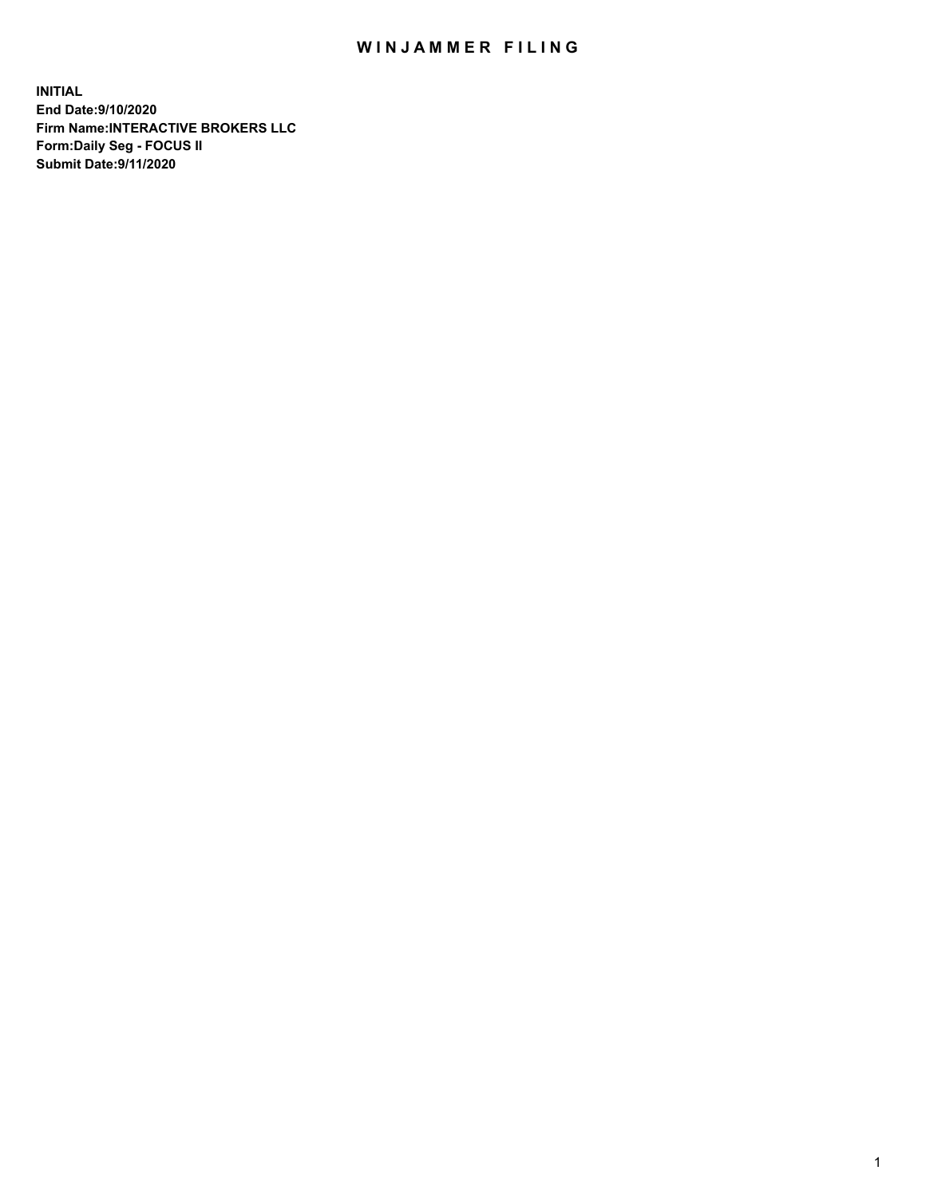## WIN JAMMER FILING

**INITIAL End Date:9/10/2020 Firm Name:INTERACTIVE BROKERS LLC Form:Daily Seg - FOCUS II Submit Date:9/11/2020**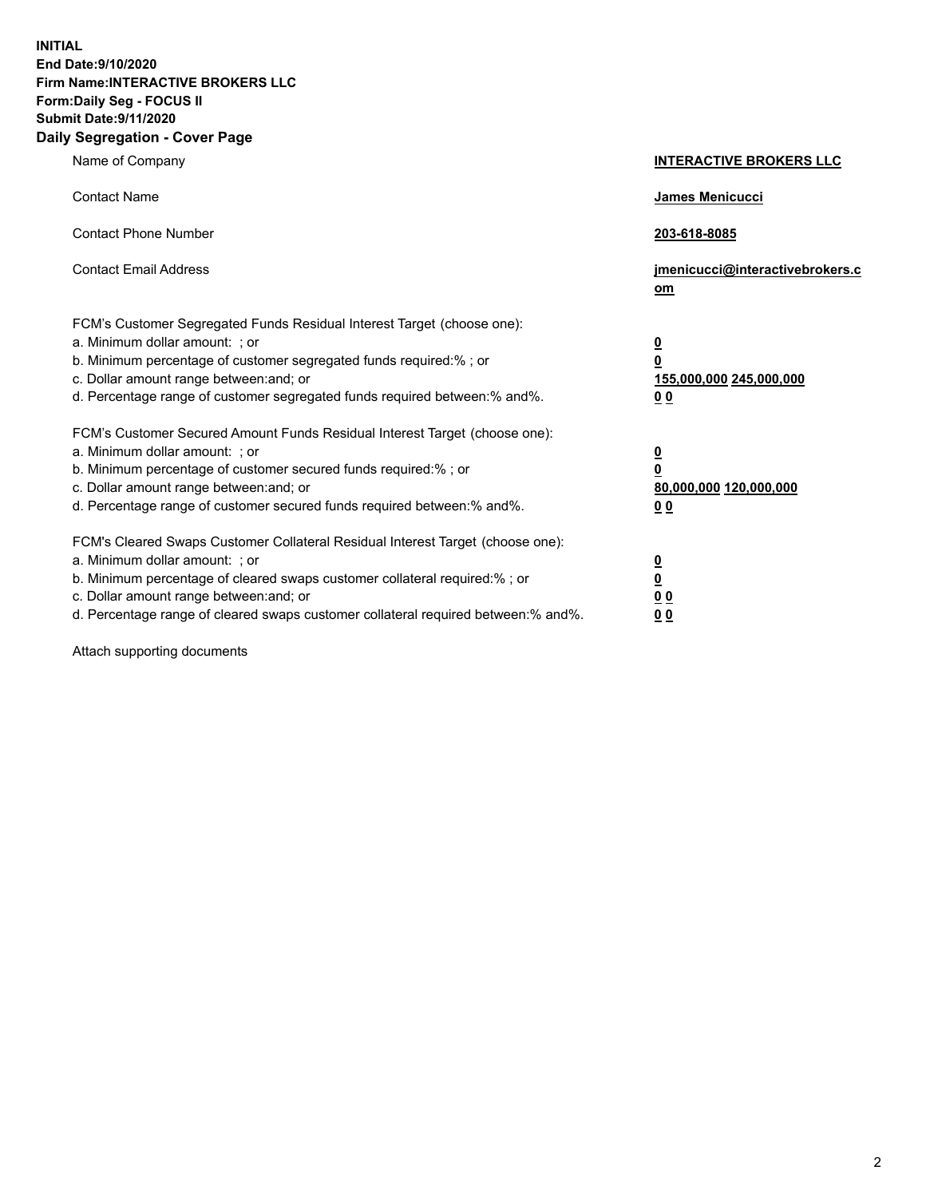**INITIAL End Date:9/10/2020 Firm Name:INTERACTIVE BROKERS LLC Form:Daily Seg - FOCUS II Submit Date:9/11/2020 Daily Segregation - Cover Page**

| Name of Company                                                                                                                                                                                                                                                                                                                | <b>INTERACTIVE BROKERS LLC</b>                                                                  |
|--------------------------------------------------------------------------------------------------------------------------------------------------------------------------------------------------------------------------------------------------------------------------------------------------------------------------------|-------------------------------------------------------------------------------------------------|
| <b>Contact Name</b>                                                                                                                                                                                                                                                                                                            | <b>James Menicucci</b>                                                                          |
| <b>Contact Phone Number</b>                                                                                                                                                                                                                                                                                                    | 203-618-8085                                                                                    |
| <b>Contact Email Address</b>                                                                                                                                                                                                                                                                                                   | jmenicucci@interactivebrokers.c<br>om                                                           |
| FCM's Customer Segregated Funds Residual Interest Target (choose one):<br>a. Minimum dollar amount: ; or<br>b. Minimum percentage of customer segregated funds required:%; or<br>c. Dollar amount range between: and; or<br>d. Percentage range of customer segregated funds required between:% and%.                          | $\overline{\mathbf{0}}$<br>$\overline{\mathbf{0}}$<br>155,000,000 245,000,000<br>0 <sub>0</sub> |
| FCM's Customer Secured Amount Funds Residual Interest Target (choose one):<br>a. Minimum dollar amount: ; or<br>b. Minimum percentage of customer secured funds required:%; or<br>c. Dollar amount range between: and; or<br>d. Percentage range of customer secured funds required between:% and%.                            | <u>0</u><br>$\overline{\mathbf{0}}$<br>80,000,000 120,000,000<br>0 <sub>0</sub>                 |
| FCM's Cleared Swaps Customer Collateral Residual Interest Target (choose one):<br>a. Minimum dollar amount: ; or<br>b. Minimum percentage of cleared swaps customer collateral required:% ; or<br>c. Dollar amount range between: and; or<br>d. Percentage range of cleared swaps customer collateral required between:% and%. | $\overline{\mathbf{0}}$<br>$\underline{\mathbf{0}}$<br>0 <sub>0</sub><br>00                     |

Attach supporting documents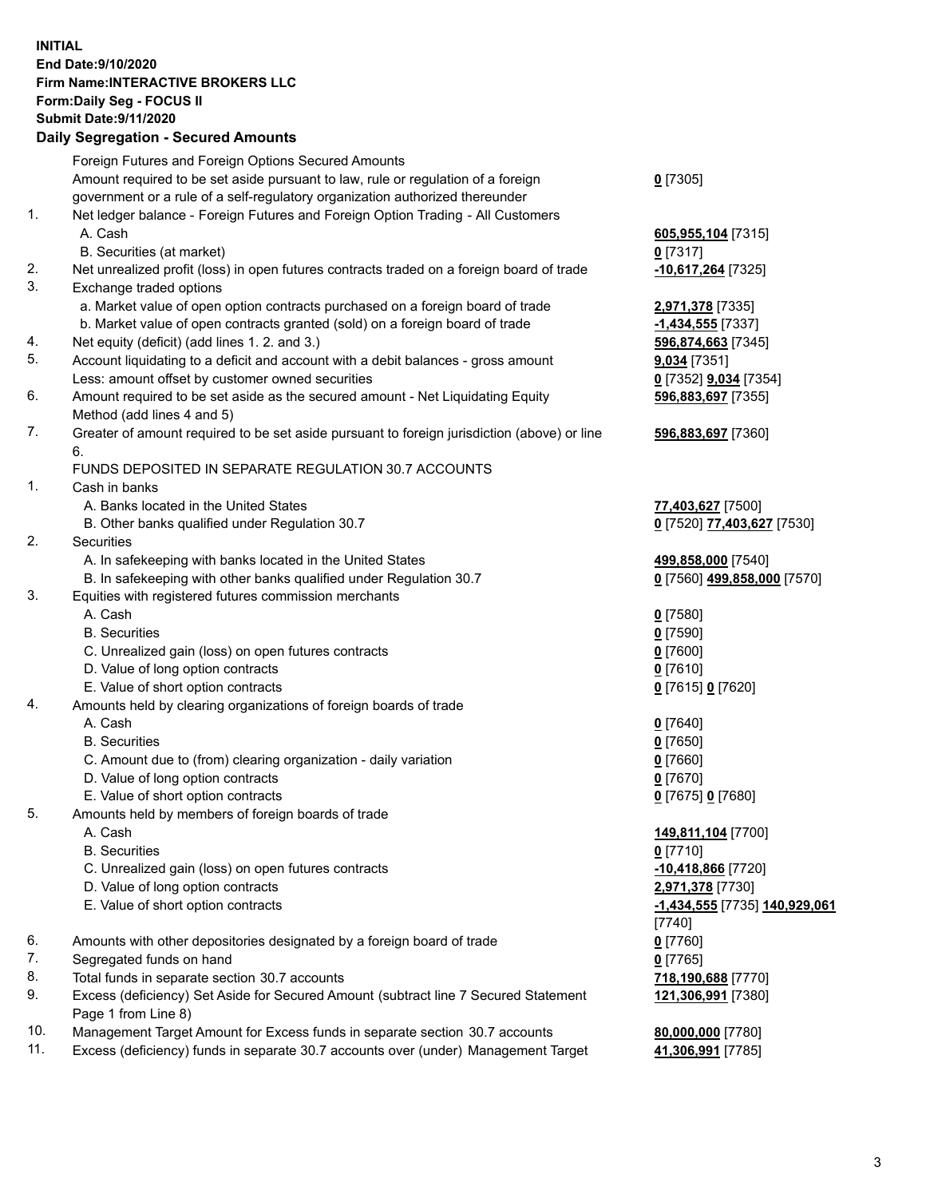## **INITIAL End Date:9/10/2020 Firm Name:INTERACTIVE BROKERS LLC Form:Daily Seg - FOCUS II Submit Date:9/11/2020 Daily Segregation - Secured Amounts**

|     | Daily Segregation - Secured Amounts                                                         |                               |
|-----|---------------------------------------------------------------------------------------------|-------------------------------|
|     | Foreign Futures and Foreign Options Secured Amounts                                         |                               |
|     | Amount required to be set aside pursuant to law, rule or regulation of a foreign            | $0$ [7305]                    |
|     | government or a rule of a self-regulatory organization authorized thereunder                |                               |
| 1.  | Net ledger balance - Foreign Futures and Foreign Option Trading - All Customers             |                               |
|     | A. Cash                                                                                     | 605,955,104 [7315]            |
|     | B. Securities (at market)                                                                   | $0$ [7317]                    |
| 2.  | Net unrealized profit (loss) in open futures contracts traded on a foreign board of trade   | -10,617,264 [7325]            |
| 3.  | Exchange traded options                                                                     |                               |
|     | a. Market value of open option contracts purchased on a foreign board of trade              | 2,971,378 [7335]              |
|     | b. Market value of open contracts granted (sold) on a foreign board of trade                | -1,434,555 [7337]             |
| 4.  | Net equity (deficit) (add lines 1. 2. and 3.)                                               | 596,874,663 [7345]            |
| 5.  | Account liquidating to a deficit and account with a debit balances - gross amount           | <b>9,034</b> [7351]           |
|     | Less: amount offset by customer owned securities                                            | 0 [7352] <b>9,034</b> [7354]  |
| 6.  | Amount required to be set aside as the secured amount - Net Liquidating Equity              | 596,883,697 [7355]            |
|     | Method (add lines 4 and 5)                                                                  |                               |
| 7.  | Greater of amount required to be set aside pursuant to foreign jurisdiction (above) or line | 596,883,697 [7360]            |
|     | 6.                                                                                          |                               |
|     | FUNDS DEPOSITED IN SEPARATE REGULATION 30.7 ACCOUNTS                                        |                               |
| 1.  | Cash in banks                                                                               |                               |
|     | A. Banks located in the United States                                                       | 77,403,627 [7500]             |
|     | B. Other banks qualified under Regulation 30.7                                              | 0 [7520] 77,403,627 [7530]    |
| 2.  | Securities                                                                                  |                               |
|     | A. In safekeeping with banks located in the United States                                   | 499,858,000 [7540]            |
|     | B. In safekeeping with other banks qualified under Regulation 30.7                          | 0 [7560] 499,858,000 [7570]   |
| 3.  | Equities with registered futures commission merchants                                       |                               |
|     | A. Cash                                                                                     | $0$ [7580]                    |
|     | <b>B.</b> Securities                                                                        | $0$ [7590]                    |
|     | C. Unrealized gain (loss) on open futures contracts                                         | $0$ [7600]                    |
|     | D. Value of long option contracts                                                           | $0$ [7610]                    |
|     | E. Value of short option contracts                                                          | 0 [7615] 0 [7620]             |
| 4.  | Amounts held by clearing organizations of foreign boards of trade                           |                               |
|     | A. Cash                                                                                     | $0$ [7640]                    |
|     | <b>B.</b> Securities                                                                        | $0$ [7650]                    |
|     | C. Amount due to (from) clearing organization - daily variation                             | $0$ [7660]                    |
|     | D. Value of long option contracts                                                           | $0$ [7670]                    |
|     | E. Value of short option contracts                                                          | 0 [7675] 0 [7680]             |
| 5.  | Amounts held by members of foreign boards of trade                                          |                               |
|     | A. Cash                                                                                     | 149,811,104 [7700]            |
|     | <b>B.</b> Securities                                                                        | $0$ [7710]                    |
|     | C. Unrealized gain (loss) on open futures contracts                                         | 10,418,866 [7720]             |
|     | D. Value of long option contracts                                                           | 2,971,378 [7730]              |
|     | E. Value of short option contracts                                                          | -1,434,555 [7735] 140,929,061 |
|     |                                                                                             | [7740]                        |
| 6.  | Amounts with other depositories designated by a foreign board of trade                      | $0$ [7760]                    |
| 7.  | Segregated funds on hand                                                                    | $0$ [7765]                    |
| 8.  | Total funds in separate section 30.7 accounts                                               | 718,190,688 [7770]            |
| 9.  | Excess (deficiency) Set Aside for Secured Amount (subtract line 7 Secured Statement         | 121,306,991 [7380]            |
|     | Page 1 from Line 8)                                                                         |                               |
| 10. | Management Target Amount for Excess funds in separate section 30.7 accounts                 | 80,000,000 [7780]             |
| 11. | Excess (deficiency) funds in separate 30.7 accounts over (under) Management Target          | 41,306,991 [7785]             |
|     |                                                                                             |                               |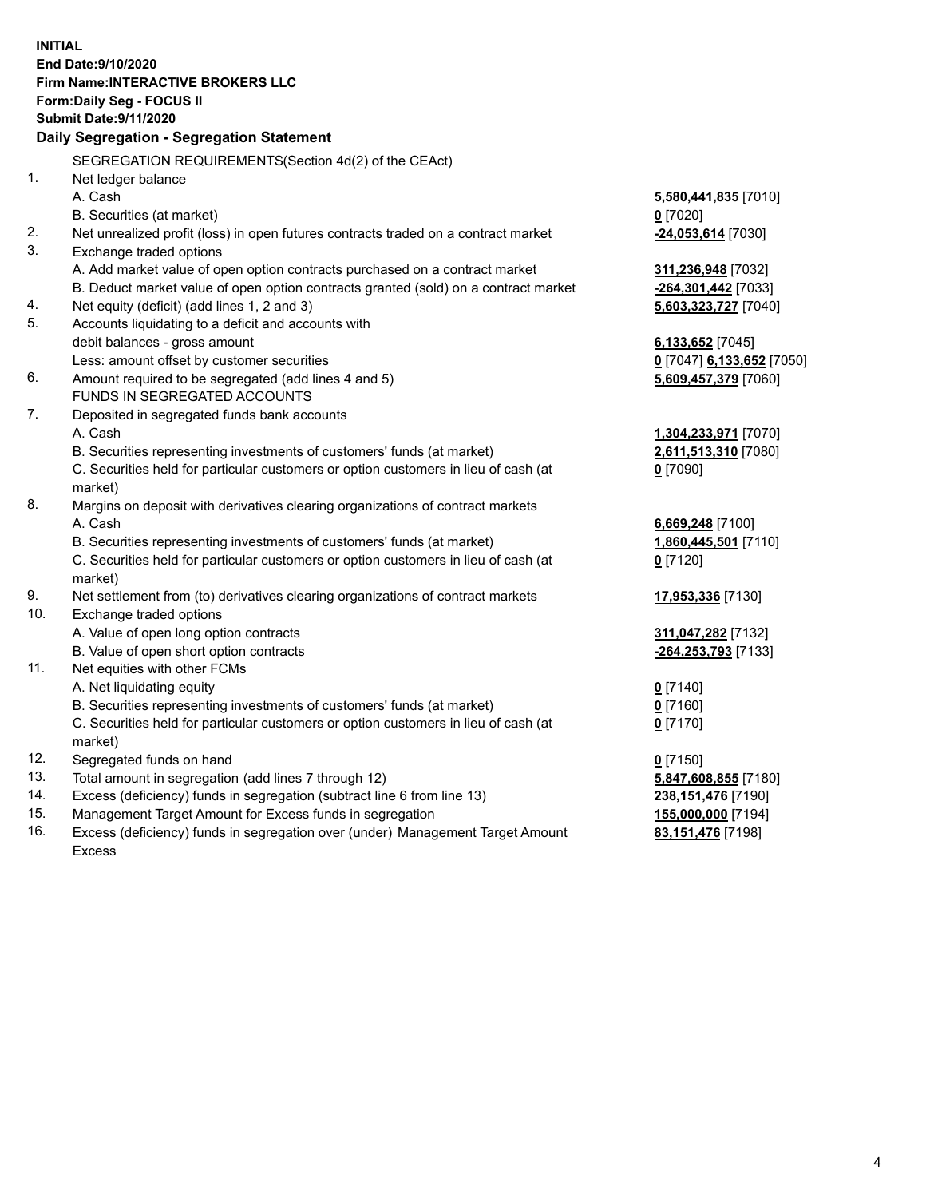**INITIAL End Date:9/10/2020 Firm Name:INTERACTIVE BROKERS LLC Form:Daily Seg - FOCUS II Submit Date:9/11/2020 Daily Segregation - Segregation Statement** SEGREGATION REQUIREMENTS(Section 4d(2) of the CEAct) 1. Net ledger balance A. Cash **5,580,441,835** [7010] B. Securities (at market) **0** [7020] 2. Net unrealized profit (loss) in open futures contracts traded on a contract market **-24,053,614** [7030] 3. Exchange traded options A. Add market value of open option contracts purchased on a contract market **311,236,948** [7032] B. Deduct market value of open option contracts granted (sold) on a contract market **-264,301,442** [7033] 4. Net equity (deficit) (add lines 1, 2 and 3) **5,603,323,727** [7040] 5. Accounts liquidating to a deficit and accounts with debit balances - gross amount **6,133,652** [7045] Less: amount offset by customer securities **0** [7047] **6,133,652** [7050] 6. Amount required to be segregated (add lines 4 and 5) **5,609,457,379** [7060] FUNDS IN SEGREGATED ACCOUNTS 7. Deposited in segregated funds bank accounts A. Cash **1,304,233,971** [7070] B. Securities representing investments of customers' funds (at market) **2,611,513,310** [7080] C. Securities held for particular customers or option customers in lieu of cash (at market) **0** [7090] 8. Margins on deposit with derivatives clearing organizations of contract markets A. Cash **6,669,248** [7100] B. Securities representing investments of customers' funds (at market) **1,860,445,501** [7110] C. Securities held for particular customers or option customers in lieu of cash (at market) **0** [7120] 9. Net settlement from (to) derivatives clearing organizations of contract markets **17,953,336** [7130] 10. Exchange traded options A. Value of open long option contracts **311,047,282** [7132] B. Value of open short option contracts **-264,253,793** [7133] 11. Net equities with other FCMs A. Net liquidating equity **0** [7140] B. Securities representing investments of customers' funds (at market) **0** [7160] C. Securities held for particular customers or option customers in lieu of cash (at market) **0** [7170] 12. Segregated funds on hand **0** [7150] 13. Total amount in segregation (add lines 7 through 12) **5,847,608,855** [7180] 14. Excess (deficiency) funds in segregation (subtract line 6 from line 13) **238,151,476** [7190] 15. Management Target Amount for Excess funds in segregation **155,000,000** [7194] 16. Excess (deficiency) funds in segregation over (under) Management Target Amount **83,151,476** [7198]

Excess